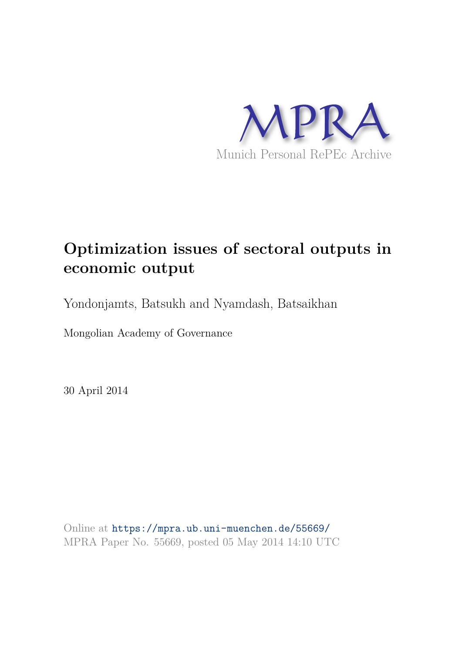

# **Optimization issues of sectoral outputs in economic output**

Yondonjamts, Batsukh and Nyamdash, Batsaikhan

Mongolian Academy of Governance

30 April 2014

Online at https://mpra.ub.uni-muenchen.de/55669/ MPRA Paper No. 55669, posted 05 May 2014 14:10 UTC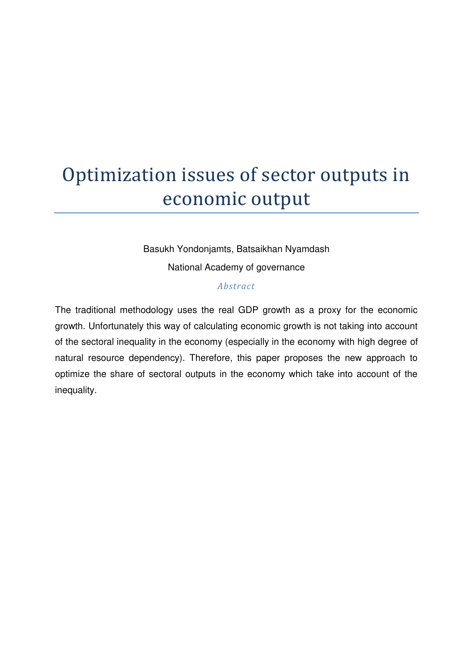# Optimization issues of sector outputs in economic output

Basukh Yondonjamts, Batsaikhan Nyamdash National Academy of governance

#### *Abstract*

The traditional methodology uses the real GDP growth as a proxy for the economic growth. Unfortunately this way of calculating economic growth is not taking into account of the sectoral inequality in the economy (especially in the economy with high degree of natural resource dependency). Therefore, this paper proposes the new approach to optimize the share of sectoral outputs in the economy which take into account of the inequality.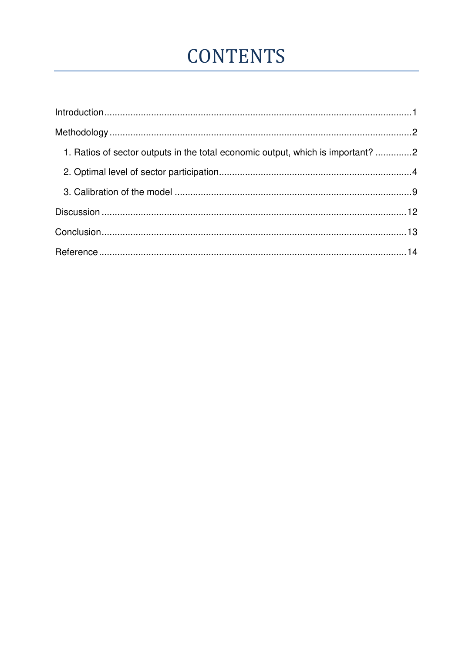# **CONTENTS**

| 1. Ratios of sector outputs in the total economic output, which is important? 2 |  |
|---------------------------------------------------------------------------------|--|
|                                                                                 |  |
|                                                                                 |  |
|                                                                                 |  |
|                                                                                 |  |
|                                                                                 |  |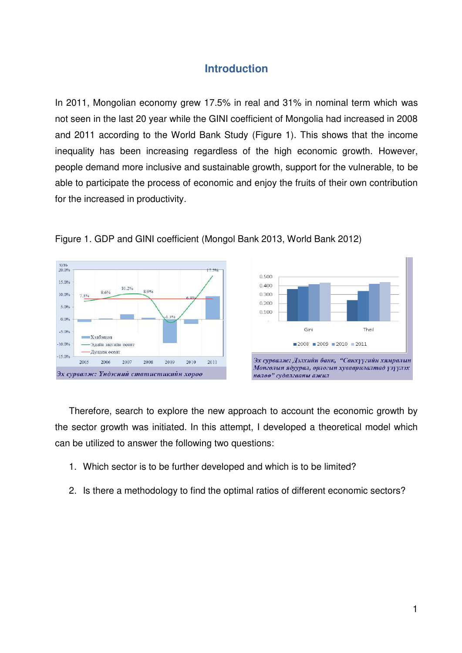# **Introduction**

<span id="page-3-0"></span>In 2011, Mongolian economy grew 17.5% in real and 31% in nominal term which was not seen in the last 20 year while the GINI coefficient of Mongolia had increased in 2008 and 2011 according to the World Bank Study (Figure 1). This shows that the income inequality has been increasing regardless of the high economic growth. However, people demand more inclusive and sustainable growth, support for the vulnerable, to be able to participate the process of economic and enjoy the fruits of their own contribution for the increased in productivity*.* 







Therefore, search to explore the new approach to account the economic growth by the sector growth was initiated. In this attempt, I developed a theoretical model which can be utilized to answer the following two questions:

- 1. Which sector is to be further developed and which is to be limited?
- 2. Is there a methodology to find the optimal ratios of different economic sectors?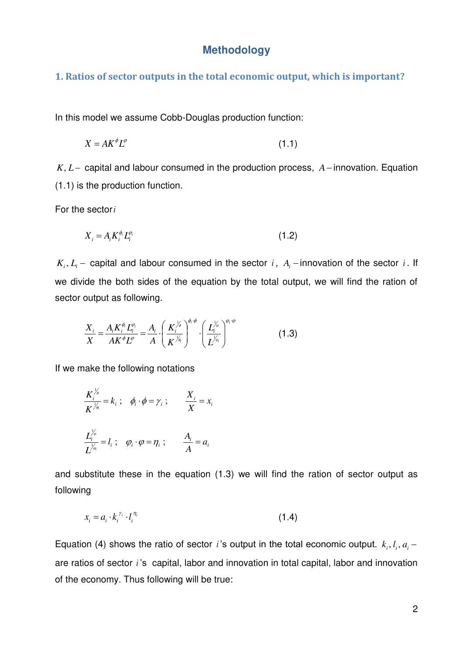### **Methodology**

#### <span id="page-4-1"></span><span id="page-4-0"></span>**1. Ratios of sector outputs in the total economic output, which is important?**

In this model we assume Cobb-Douglas production function:

$$
X = AK^{\phi}L^{\phi} \tag{1.1}
$$

 $K, L$  - capital and labour consumed in the production process,  $A$ -innovation. Equation (1.1) is the production function.

For the sector*i*

$$
X_i = A_i K_i^{\phi_i} L_i^{\phi_i} \tag{1.2}
$$

 $K_i, L_i$  – capital and labour consumed in the sector *i*,  $A_i$  – innovation of the sector *i*. If we divide the both sides of the equation by the total output, we will find the ration of sector output as following.

$$
\frac{X_i}{X} = \frac{A_i K_i^{\phi_i} L_i^{\phi_i}}{A K^{\phi} L^{\phi}} = \frac{A_i}{A} \cdot \left(\frac{K_i^{\gamma_{\phi}}}{K^{\gamma_{\phi}}} \right)^{\phi_i \cdot \phi} \cdot \left(\frac{L_i^{\gamma_{\phi}}}{L^{\gamma_{\phi_i}}}\right)^{\phi_i \cdot \phi}
$$
(1.3)

If we make the following notations

$$
\frac{K_i^{\frac{1}{\varphi}}}{K^{\frac{1}{\varphi}}} = k_i ; \quad \phi_i \cdot \phi = \gamma_i ; \qquad \frac{X_i}{X} = x_i
$$

$$
\frac{L_i^{\frac{1}{\varphi}}}{L^{\frac{1}{\varphi}}} = l_i ; \quad \varphi_i \cdot \phi = \eta_i ; \qquad \frac{A_i}{A} = a_i
$$

and substitute these in the equation (1.3) we will find the ration of sector output as following

$$
x_i = a_i \cdot k_i^{\gamma_i} \cdot l_i^{\eta_i} \tag{1.4}
$$

Equation (4) shows the ratio of sector *i*'s output in the total economic output.  $k_i, l_i, a_i$ are ratios of sector *i* 's capital, labor and innovation in total capital, labor and innovation of the economy. Thus following will be true: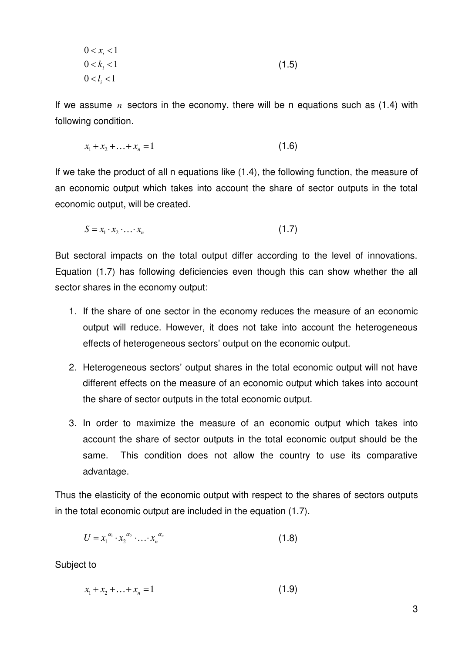$$
0 < x_i < 1
$$
\n
$$
0 < k_i < 1
$$
\n
$$
0 < l_i < 1
$$
\n
$$
(1.5)
$$

If we assume *n* sectors in the economy, there will be n equations such as (1.4) with following condition.

$$
x_1 + x_2 + \ldots + x_n = 1 \tag{1.6}
$$

If we take the product of all n equations like (1.4), the following function, the measure of an economic output which takes into account the share of sector outputs in the total economic output, will be created.

$$
S = x_1 \cdot x_2 \cdot \ldots \cdot x_n \tag{1.7}
$$

But sectoral impacts on the total output differ according to the level of innovations. Equation (1.7) has following deficiencies even though this can show whether the all sector shares in the economy output:

- 1. If the share of one sector in the economy reduces the measure of an economic output will reduce. However, it does not take into account the heterogeneous effects of heterogeneous sectors' output on the economic output.
- 2. Heterogeneous sectors' output shares in the total economic output will not have different effects on the measure of an economic output which takes into account the share of sector outputs in the total economic output.
- 3. In order to maximize the measure of an economic output which takes into account the share of sector outputs in the total economic output should be the same. This condition does not allow the country to use its comparative advantage.

Thus the elasticity of the economic output with respect to the shares of sectors outputs in the total economic output are included in the equation (1.7).

$$
U = x_1^{\alpha_1} \cdot x_2^{\alpha_2} \cdot \ldots \cdot x_n^{\alpha_n} \tag{1.8}
$$

Subject to

 $x_1 + x_2 + ... + x_n = 1$  (1.9)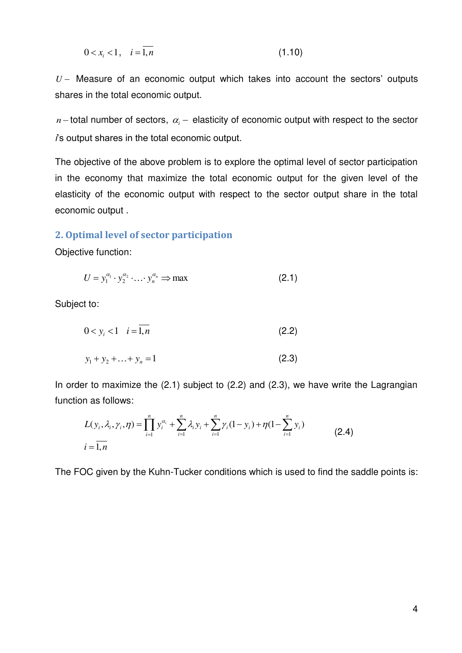$$
0 < x_i < 1, \quad i = \overline{1, n} \tag{1.10}
$$

*U* Measure of an economic output which takes into account the sectors' outputs shares in the total economic output.

 $n-$  total number of sectors,  $\alpha_i$  – elasticity of economic output with respect to the sector *i*'s output shares in the total economic output.

The objective of the above problem is to explore the optimal level of sector participation in the economy that maximize the total economic output for the given level of the elasticity of the economic output with respect to the sector output share in the total economic output .

#### <span id="page-6-0"></span>**2. Optimal level of sector participation**

Objective function:

$$
U = y_1^{\alpha_1} \cdot y_2^{\alpha_2} \cdot \ldots \cdot y_n^{\alpha_n} \Rightarrow \max
$$
 (2.1)

Subject to:

$$
0 < y_i < 1 \quad i = 1, n \tag{2.2}
$$

$$
y_1 + y_2 + \ldots + y_n = 1 \tag{2.3}
$$

In order to maximize the (2.1) subject to (2.2) and (2.3), we have write the Lagrangian function as follows:

$$
L(y_i, \lambda_i, \gamma_i, \eta) = \prod_{i=1}^n y_i^{\alpha_i} + \sum_{i=1}^n \lambda_i y_i + \sum_{i=1}^n \gamma_i (1 - y_i) + \eta (1 - \sum_{i=1}^n y_i)
$$
\n
$$
i = \overline{1, n}
$$
\n(2.4)

The FOC given by the Kuhn-Tucker conditions which is used to find the saddle points is: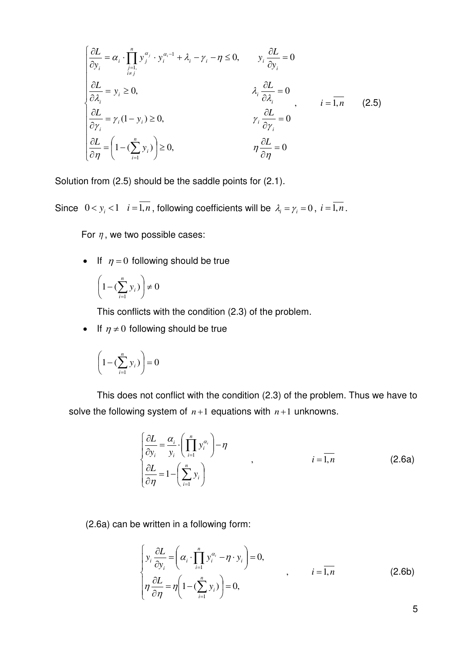$$
\begin{cases}\n\frac{\partial L}{\partial y_i} = \alpha_i \cdot \prod_{\substack{j=1, \\ i \neq j}}^n y_j^{\alpha_j} \cdot y_i^{\alpha_i - 1} + \lambda_i - \gamma_i - \eta \le 0, & y_i \frac{\partial L}{\partial y_i} = 0 \\
\frac{\partial L}{\partial \lambda_i} = y_i \ge 0, & \lambda_i \frac{\partial L}{\partial \lambda_i} = 0 \\
\frac{\partial L}{\partial \gamma_i} = \gamma_i (1 - y_i) \ge 0, & \gamma_i \frac{\partial L}{\partial \gamma_i} = 0 \\
\frac{\partial L}{\partial \eta} = \left(1 - (\sum_{i=1}^n y_i)\right) \ge 0, & \eta \frac{\partial L}{\partial \eta} = 0\n\end{cases}
$$
\n(2.5)

Solution from (2.5) should be the saddle points for (2.1).

Since  $0 < y_i < 1$   $i = \overline{1, n}$ , following coefficients will be  $\lambda_i = \gamma_i = 0$ ,  $i = \overline{1, n}$ .

For  $\eta$ , we two possible cases:

If  $\eta = 0$  following should be true

$$
\left(1 - \left(\sum_{i=1}^{n} y_i\right)\right) \neq 0
$$

This conflicts with the condition (2.3) of the problem.

If  $\eta \neq 0$  following should be true

$$
\left(1 - \left(\sum_{i=1}^{n} y_i\right)\right) = 0
$$

This does not conflict with the condition (2.3) of the problem. Thus we have to solve the following system of  $n+1$  equations with  $n+1$  unknowns.

$$
\begin{cases}\n\frac{\partial L}{\partial y_i} = \frac{\alpha_i}{y_i} \cdot \left(\prod_{i=1}^n y_i^{\alpha_i}\right) - \eta \\
\frac{\partial L}{\partial \eta} = 1 - \left(\sum_{i=1}^n y_i\right)\n\end{cases}
$$
,  $i = \overline{1, n}$  (2.6a)

(2.6a) can be written in a following form:

$$
\begin{cases}\ny_i \frac{\partial L}{\partial y_i} = \left(\alpha_i \cdot \prod_{i=1}^n y_i^{\alpha_i} - \eta \cdot y_i\right) = 0, \\
\eta \frac{\partial L}{\partial \eta} = \eta \left(1 - \left(\sum_{i=1}^n y_i\right)\right) = 0,\n\end{cases}\n\quad i = \overline{1, n} \n\tag{2.6b}
$$

5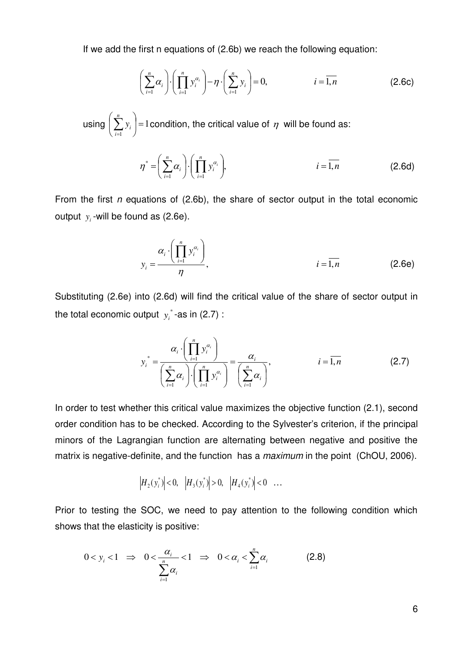If we add the first n equations of (2.6b) we reach the following equation:

$$
\left(\sum_{i=1}^{n} \alpha_i\right) \cdot \left(\prod_{i=1}^{n} y_i^{\alpha_i}\right) - \eta \cdot \left(\sum_{i=1}^{n} y_i\right) = 0, \qquad i = \overline{1, n} \qquad (2.6c)
$$

using  $|\sum y_i|=1$ 1  $\vert$  =  $\bigg)$  $\left(\sum_{i=1}^{n} y_i\right)$  $\setminus$  $\Bigg(\sum_{i=1}^n$ *n i*  $y_i$  |=1 condition, the critical value of  $\eta$  will be found as:

$$
\eta^* = \left(\sum_{i=1}^n \alpha_i\right) \cdot \left(\prod_{i=1}^n y_i^{\alpha_i}\right), \qquad i = \overline{1, n} \qquad (2.6d)
$$

From the first *n* equations of (2.6b), the share of sector output in the total economic output  $y_i$ -will be found as  $(2.6e)$ .

$$
y_i = \frac{\alpha_i \cdot \left(\prod_{i=1}^n y_i^{\alpha_i}\right)}{\eta},
$$
 (2.6e)

Substituting (2.6e) into (2.6d) will find the critical value of the share of sector output in the total economic output  $y_i^*$ -as in (2.7) :

$$
y_i^* = \frac{\alpha_i \cdot \left(\prod_{i=1}^n y_i^{\alpha_i}\right)}{\left(\sum_{i=1}^n \alpha_i\right) \cdot \left(\prod_{i=1}^n y_i^{\alpha_i}\right)} = \frac{\alpha_i}{\left(\sum_{i=1}^n \alpha_i\right)}, \qquad i = \overline{1, n} \qquad (2.7)
$$

In order to test whether this critical value maximizes the objective function (2.1), second order condition has to be checked. According to the Sylvester's criterion, if the principal minors of the Lagrangian function are alternating between negative and positive the matrix is negative-definite, and the function has a *maximum* in the point (ChOU, 2006).

$$
|H_2(y_i^*)| < 0, \quad |H_3(y_i^*)| > 0, \quad |H_4(y_i^*)| < 0 \quad \dots
$$

Prior to testing the SOC, we need to pay attention to the following condition which shows that the elasticity is positive:

$$
0 < y_i < 1 \quad \Rightarrow \quad 0 < \frac{\alpha_i}{\sum\limits_{i=1}^n \alpha_i} < 1 \quad \Rightarrow \quad 0 < \alpha_i < \sum\limits_{i=1}^n \alpha_i \tag{2.8}
$$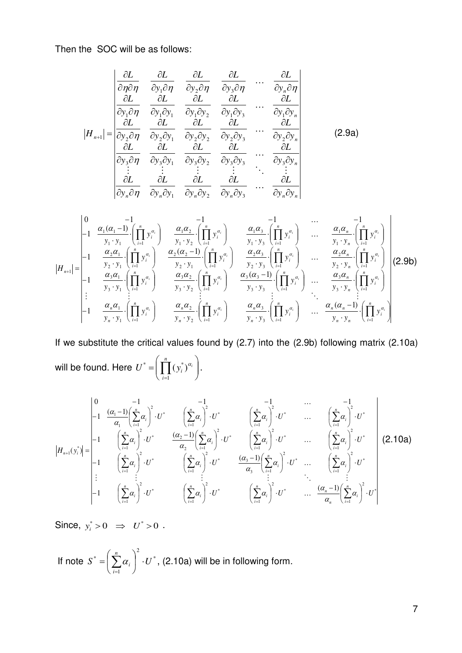Then the SOC will be as follows:

$$
|H_{n+1}| = \begin{vmatrix} \frac{\partial L}{\partial \eta \partial \eta} & \frac{\partial L}{\partial y_1 \partial \eta} & \frac{\partial L}{\partial y_2 \partial \eta} & \frac{\partial L}{\partial y_3 \partial \eta} & \cdots & \frac{\partial L}{\partial y_n \partial \eta} \\ \frac{\partial L}{\partial y_1 \partial \eta} & \frac{\partial L}{\partial y_1 \partial y_1} & \frac{\partial L}{\partial y_1 \partial y_2} & \frac{\partial L}{\partial y_1 \partial y_3} & \cdots & \frac{\partial L}{\partial y_1 \partial y_n} \\ \frac{\partial L}{\partial y_2 \partial \eta} & \frac{\partial L}{\partial y_2 \partial y_1} & \frac{\partial L}{\partial y_2 \partial y_2} & \frac{\partial L}{\partial y_2 \partial y_3} & \cdots & \frac{\partial L}{\partial y_2 \partial y_n} \\ \frac{\partial L}{\partial y_3 \partial \eta} & \frac{\partial L}{\partial y_3 \partial y_1} & \frac{\partial L}{\partial y_3 \partial y_2} & \frac{\partial L}{\partial y_3 \partial y_3} & \cdots & \frac{\partial L}{\partial y_3 \partial y_n} \\ \vdots & \vdots & \vdots & \ddots & \vdots \\ \frac{\partial L}{\partial y_n \partial \eta} & \frac{\partial L}{\partial y_n \partial y_1} & \frac{\partial L}{\partial y_n \partial y_2} & \frac{\partial L}{\partial y_n \partial y_3} & \cdots & \frac{\partial L}{\partial y_n \partial y_n} \end{vmatrix}
$$
(2.9a)

$$
|H_{n+1}| = \begin{vmatrix}\n0 & -1 & -1 & -1 \\
-1 & \frac{\alpha_1(\alpha_1 - 1)}{y_1 \cdot y_1} \cdot \left(\prod_{i=1}^n y_i^{\alpha_i}\right) & \frac{\alpha_1 \alpha_2}{y_1 \cdot y_2} \cdot \left(\prod_{i=1}^n y_i^{\alpha_i}\right) & \frac{\alpha_1 \alpha_3}{y_1 \cdot y_3} \cdot \left(\prod_{i=1}^n y_i^{\alpha_i}\right) & \cdots & \frac{\alpha_1 \alpha_n}{y_1 \cdot y_n} \cdot \left(\prod_{i=1}^n y_i^{\alpha_i}\right) \\
-1 & \frac{\alpha_2 \alpha_1}{y_2 \cdot y_1} \cdot \left(\prod_{i=1}^n y_i^{\alpha_i}\right) & \frac{\alpha_2(\alpha_2 - 1)}{y_2 \cdot y_1} \cdot \left(\prod_{i=1}^n y_i^{\alpha_i}\right) & \frac{\alpha_2 \alpha_3}{y_2 \cdot y_3} \cdot \left(\prod_{i=1}^n y_i^{\alpha_i}\right) & \cdots & \frac{\alpha_2 \alpha_n}{y_2 \cdot y_n} \cdot \left(\prod_{i=1}^n y_i^{\alpha_i}\right) \\
-1 & \frac{\alpha_3 \alpha_1}{y_3 \cdot y_1} \cdot \left(\prod_{i=1}^n y_i^{\alpha_i}\right) & \frac{\alpha_3 \alpha_2}{y_3 \cdot y_2} \cdot \left(\prod_{i=1}^n y_i^{\alpha_i}\right) & \frac{\alpha_3(\alpha_3 - 1)}{y_3 \cdot y_3} \cdot \left(\prod_{i=1}^n y_i^{\alpha_i}\right) & \cdots & \frac{\alpha_3 \alpha_n}{y_3 \cdot y_n} \cdot \left(\prod_{i=1}^n y_i^{\alpha_i}\right) \\
-1 & \frac{\alpha_n \alpha_1}{y_n \cdot y_1} \cdot \left(\prod_{i=1}^n y_i^{\alpha_i}\right) & \frac{\alpha_n \alpha_2}{y_n \cdot y_2} \cdot \left(\prod_{i=1}^n y_i^{\alpha_i}\right) & \frac{\alpha_n \alpha_3}{y_n \cdot y_3} \cdot \left(\prod_{i=1}^n y_i^{\alpha_i}\right) & \cdots & \frac{\alpha_n(\alpha_n - 1)}{y_n \cdot y_n} \cdot \left(\prod_{i=1}^n y_i^{\alpha_i}\right)\n\end{vmatrix}
$$
\n(2.9b)

If we substitute the critical values found by (2.7) into the (2.9b) following matrix (2.10a) will be found. Here  $\left| U^* \right| = \bigsqcup \left( y_i^* \right)^{\alpha_i} \big|$ J  $\mathcal{L}$  $\overline{\phantom{a}}$  $\setminus$  $=\left(\prod_{i=1}^n\right]$ *i*  $U^* = \prod_{i} (y_i^*)^{\alpha_i}$ 1 \* =  $\prod (y_i^*)^{\alpha_i}$ .

$$
|H_{n+1}(y_i^*)| = \begin{vmatrix} 0 & -1 & -1 & -1 & \cdots & -1 \\ -1 & \frac{(\alpha_1 - 1)}{\alpha_1} \left( \sum_{i=1}^n \alpha_i \right)^2 \cdot U^* & \left( \sum_{i=1}^n \alpha_i \right)^2 \cdot U^* & \left( \sum_{i=1}^n \alpha_i \right)^2 \cdot U^* & \cdots & \left( \sum_{i=1}^n \alpha_i \right)^2 \cdot U^* \\ -1 & \left( \sum_{i=1}^n \alpha_i \right)^2 \cdot U^* & \frac{(\alpha_2 - 1)}{\alpha_2} \left( \sum_{i=1}^n \alpha_i \right)^2 \cdot U^* & \left( \sum_{i=1}^n \alpha_i \right)^2 \cdot U^* & \cdots & \left( \sum_{i=1}^n \alpha_i \right)^2 \cdot U^* \\ \vdots & \vdots & \vdots & \vdots & \ddots & \vdots \\ -1 & \left( \sum_{i=1}^n \alpha_i \right)^2 \cdot U^* & \left( \sum_{i=1}^n \alpha_i \right)^2 \cdot U^* & \frac{(\alpha_3 - 1)}{\alpha_3} \left( \sum_{i=1}^n \alpha_i \right)^2 \cdot U^* & \cdots & \left( \sum_{i=1}^n \alpha_i \right)^2 \cdot U^* \\ \vdots & \vdots & \vdots & \ddots & \vdots \\ -1 & \left( \sum_{i=1}^n \alpha_i \right)^2 \cdot U^* & \left( \sum_{i=1}^n \alpha_i \right)^2 \cdot U^* & \left( \sum_{i=1}^n \alpha_i \right)^2 \cdot U^* & \cdots & \frac{(\alpha_n - 1)}{\alpha_n} \left( \sum_{i=1}^n \alpha_i \right)^2 \cdot U^* \end{vmatrix}
$$
 (2.10a)

Since,  $y_i^* > 0 \Rightarrow U^* > 0$ .

If note 
$$
S^* = \left(\sum_{i=1}^n \alpha_i\right)^2 \cdot U^*
$$
, (2.10a) will be in following form.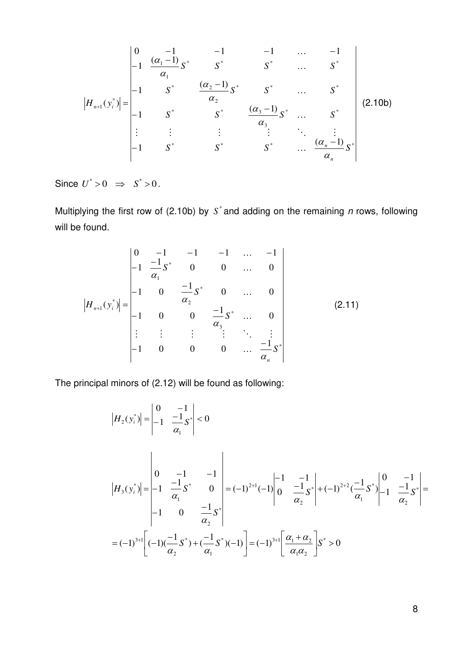$$
|H_{n+1}(y_i^*)| = \begin{vmatrix} 0 & -1 & -1 & -1 & \dots & -1 \\ -1 & \frac{(\alpha_1 - 1)}{\alpha_1} S^* & S^* & S^* & \dots & S^* \\ -1 & S^* & \frac{(\alpha_2 - 1)}{\alpha_2} S^* & S^* & \dots & S^* \\ -1 & S^* & S^* & \frac{(\alpha_3 - 1)}{\alpha_3} S^* & \dots & S^* \\ \vdots & \vdots & \vdots & \ddots & \vdots \\ -1 & S^* & S^* & S^* & \dots & \frac{(\alpha_n - 1)}{\alpha_n} S^* \end{vmatrix}
$$
(2.10b)

Since  $U^* > 0 \Rightarrow S^* > 0$ .

Multiplying the first row of (2.10b) by  $S^*$  and adding on the remaining  $n$  rows, following will be found.

$$
\left| H_{n+1}(y_i^*) \right| = \begin{vmatrix} 0 & -1 & -1 & -1 & \dots & -1 \\ -1 & \frac{-1}{\alpha_1} S^* & 0 & 0 & \dots & 0 \\ -1 & 0 & \frac{-1}{\alpha_2} S^* & 0 & \dots & 0 \\ -1 & 0 & 0 & \frac{-1}{\alpha_3} S^* & \dots & 0 \\ \vdots & \vdots & \vdots & \vdots & \ddots & \vdots \\ -1 & 0 & 0 & 0 & \dots & \frac{-1}{\alpha_n} S^* \end{vmatrix}
$$
(2.11)

The principal minors of (2.12) will be found as following:

$$
\begin{aligned}\n\left|H_{2}(y_{i}^{*})\right| &= \left|\begin{matrix} 0 & -1 \\ -1 & \frac{-1}{\alpha_{1}} S^{*} \end{matrix}\right| < 0 \\
\left|H_{3}(y_{i}^{*})\right| &= \left|\begin{matrix} 0 & -1 & -1 \\ -1 & \frac{-1}{\alpha_{1}} S^{*} & 0 \\ -1 & 0 & \frac{-1}{\alpha_{2}} S^{*} \end{matrix}\right| &= (-1)^{2+1}(-1)\left|\begin{matrix} -1 & -1 \\ 0 & \frac{-1}{\alpha_{2}} S^{*} \end{matrix}\right| + (-1)^{2+2}(\frac{-1}{\alpha_{1}}S^{*})\right|\begin{matrix} 0 & -1 \\ -1 & \frac{-1}{\alpha_{2}} S^{*} \end{matrix}\right| \\
&= (-1)^{3+1}\left[(-1)(\frac{-1}{\alpha_{2}}S^{*}) + (\frac{-1}{\alpha_{1}}S^{*})(-1)\right] = (-1)^{3+1}\left[\frac{\alpha_{1} + \alpha_{2}}{\alpha_{1} \alpha_{2}}\right]S^{*} > 0\n\end{aligned}
$$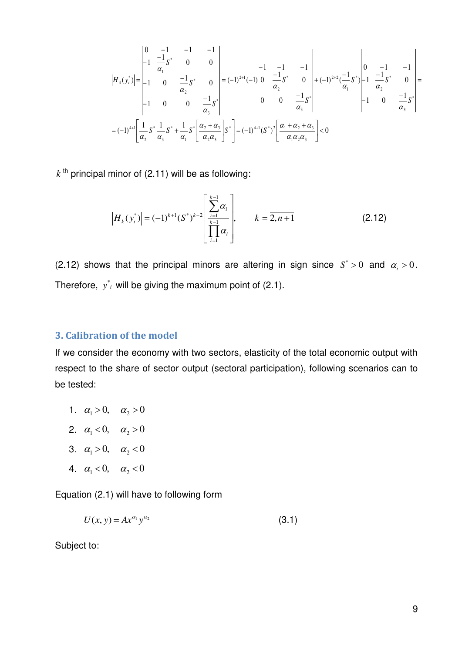$$
\begin{vmatrix} 0 & -1 & -1 & -1 \\ -1 & \frac{-1}{\alpha_1} S^* & 0 & 0 \\ -1 & 0 & \frac{-1}{\alpha_2} S^* & 0 \\ -1 & 0 & 0 & \frac{-1}{\alpha_3} S^* \end{vmatrix} = (-1)^{2+1}(-1) \begin{vmatrix} -1 & -1 & -1 \\ 0 & \frac{-1}{\alpha_2} S^* & 0 \\ 0 & 0 & \frac{-1}{\alpha_3} S^* \end{vmatrix} + (-1)^{2+2} \left(\frac{-1}{\alpha_1} S^* \right) - 1 \left(\frac{-1}{\alpha_2} S^* \right) = (-1)^{4+1} \left[\frac{1}{\alpha_2} S^* \frac{1}{\alpha_3} S^* + \frac{1}{\alpha_1} S^* \left[ \frac{\alpha_2 + \alpha_3}{\alpha_2 \alpha_3} \right] S^* \right] = (-1)^{4+1} (S^*)^2 \left[\frac{\alpha_1 + \alpha_2 + \alpha_3}{\alpha_1 \alpha_2 \alpha_3} \right] < 0
$$

 $k$ <sup>th</sup> principal minor of (2.11) will be as following:

$$
\left| H_k(y_i^*) \right| = (-1)^{k+1} (S^*)^{k-2} \left[ \frac{\sum_{i=1}^{k-1} \alpha_i}{\prod_{i=1}^{k-1} \alpha_i} \right], \qquad k = \overline{2, n+1} \tag{2.12}
$$

(2.12) shows that the principal minors are altering in sign since  $S^* > 0$  and  $\alpha_i > 0$ . Therefore,  $y^*$  will be giving the maximum point of  $(2.1)$ .

#### <span id="page-11-0"></span>**3. Calibration of the model**

If we consider the economy with two sectors, elasticity of the total economic output with respect to the share of sector output (sectoral participation), following scenarios can to be tested:

- 1.  $\alpha_1 > 0$ ,  $\alpha_2 > 0$
- 2.  $\alpha_1 < 0, \alpha_2 > 0$
- 3.  $\alpha_1 > 0$ ,  $\alpha_2 < 0$
- 4.  $\alpha_1 < 0$ ,  $\alpha_2 < 0$

Equation (2.1) will have to following form

$$
U(x, y) = Ax^{\alpha_1} y^{\alpha_2} \tag{3.1}
$$

Subject to: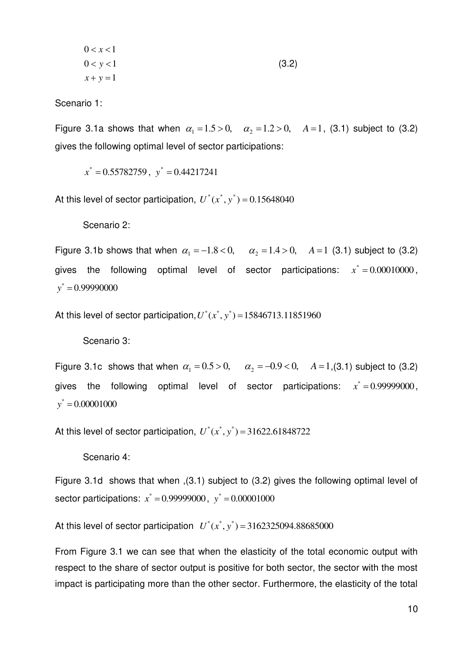$$
0 < x < 1 \n0 < y < 1 \nx + y = 1
$$
\n
$$
(3.2)
$$

Scenario 1:

Figure 3.1a shows that when  $\alpha_1 = 1.5 > 0$ ,  $\alpha_2 = 1.2 > 0$ ,  $A = 1$ , (3.1) subject to (3.2) gives the following optimal level of sector participations:

 $x^* = 0.55782759$ ,  $y^* = 0.44217241$ 

At this level of sector participation,  $U^*(x^*, y^*) = 0.15648040$ 

Scenario 2:

Figure 3.1b shows that when  $\alpha_1 = -1.8 < 0$ ,  $\alpha_2 = 1.4 > 0$ ,  $A = 1$  (3.1) subject to (3.2) gives the following optimal level of sector participations:  $x^* = 0.00010000$ ,  $y^* = 0.99990000$ 

At this level of sector participation,  $U^*(x^*, y^*) = 15846713.11851960$ 

Scenario 3:

Figure 3.1c shows that when  $\alpha_1 = 0.5 > 0$ ,  $\alpha_2 = -0.9 < 0$ ,  $A = 1$ ,(3.1) subject to (3.2) gives the following optimal level of sector participations:  $x^* = 0.99999000,$  $y^* = 0.00001000$ 

At this level of sector participation,  $U^*(x^*, y^*) = 31622.61848722$ 

Scenario 4:

Figure 3.1d shows that when ,(3.1) subject to (3.2) gives the following optimal level of sector participations:  $x^* = 0.99999000$ ,  $y^* = 0.00001000$ 

At this level of sector participation  $U^*(x^*, y^*) = 3162325094.88685000$ 

From Figure 3.1 we can see that when the elasticity of the total economic output with respect to the share of sector output is positive for both sector, the sector with the most impact is participating more than the other sector. Furthermore, the elasticity of the total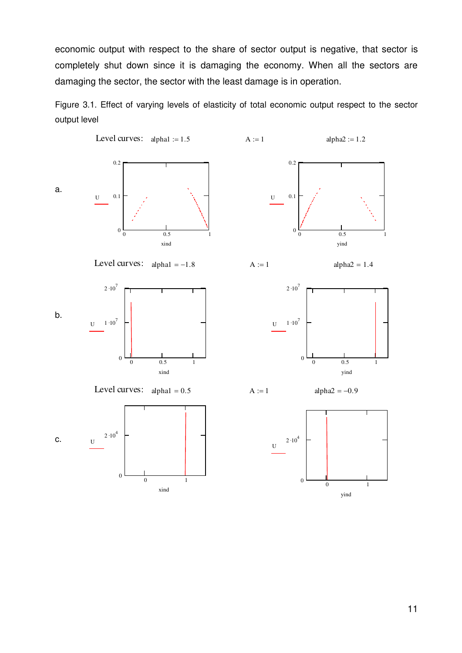economic output with respect to the share of sector output is negative, that sector is completely shut down since it is damaging the economy. When all the sectors are damaging the sector, the sector with the least damage is in operation.

Figure 3.1. Effect of varying levels of elasticity of total economic output respect to the sector output level

a. Level curves:  $alpha := 1.5$   $A := 1$   $alpha 2 := 1.2$ 0 0.5 1 0 0.1 0.2 U xind  $0.5$  1  $\boldsymbol{0}$ 0.1 0.2 U yind b. Level curves:  $alpha1 = -1.8$   $A := 1$   $alpha2 = 1.4$  $\overline{0}$  0.5 0  $1 \cdot 10^7$  $2 \cdot 10^7$ U xind 0 0.5 1  $\boldsymbol{0}$  $1 \cdot 10^7$  $2 \cdot 10^7$ U yind c. Level curves:  $alpha = 0.5$   $A := 1$   $alpha = -0.9$ 0 1 0  $2 \cdot 10^4$  ${\bf U}$ xind 0 1 0  $2 \cdot 10^4$  ${\bf U}$ 

yind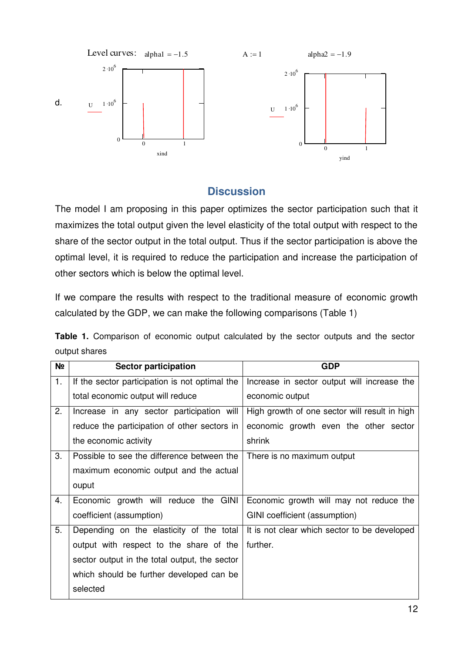

## **Discussion**

<span id="page-14-0"></span>The model I am proposing in this paper optimizes the sector participation such that it maximizes the total output given the level elasticity of the total output with respect to the share of the sector output in the total output. Thus if the sector participation is above the optimal level, it is required to reduce the participation and increase the participation of other sectors which is below the optimal level.

If we compare the results with respect to the traditional measure of economic growth calculated by the GDP, we can make the following comparisons (Table 1)

|               | <b>Table 1.</b> Comparison of economic output calculated by the sector outputs and the sector |  |  |  |  |  |  |
|---------------|-----------------------------------------------------------------------------------------------|--|--|--|--|--|--|
| output shares |                                                                                               |  |  |  |  |  |  |

| N <sub>2</sub> | <b>Sector participation</b>                    | <b>GDP</b>                                    |
|----------------|------------------------------------------------|-----------------------------------------------|
| 1.             | If the sector participation is not optimal the | Increase in sector output will increase the   |
|                | total economic output will reduce              | economic output                               |
| 2.             | Increase in any sector participation will      | High growth of one sector will result in high |
|                | reduce the participation of other sectors in   | economic growth even the other sector         |
|                | the economic activity                          | shrink                                        |
| 3.             | Possible to see the difference between the     | There is no maximum output                    |
|                | maximum economic output and the actual         |                                               |
|                | ouput                                          |                                               |
| 4.             | Economic growth will reduce the GINI           | Economic growth will may not reduce the       |
|                | coefficient (assumption)                       | GINI coefficient (assumption)                 |
| 5.             | Depending on the elasticity of the total       | It is not clear which sector to be developed  |
|                | output with respect to the share of the        | further.                                      |
|                | sector output in the total output, the sector  |                                               |
|                | which should be further developed can be       |                                               |
|                | selected                                       |                                               |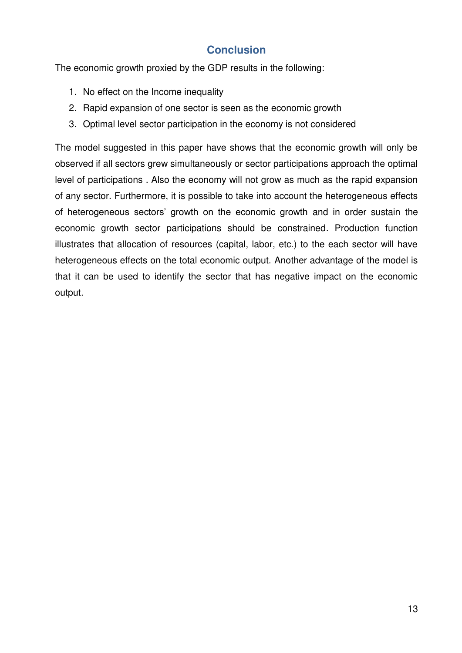# **Conclusion**

<span id="page-15-0"></span>The economic growth proxied by the GDP results in the following:

- 1. No effect on the Income inequality
- 2. Rapid expansion of one sector is seen as the economic growth
- 3. Optimal level sector participation in the economy is not considered

The model suggested in this paper have shows that the economic growth will only be observed if all sectors grew simultaneously or sector participations approach the optimal level of participations . Also the economy will not grow as much as the rapid expansion of any sector. Furthermore, it is possible to take into account the heterogeneous effects of heterogeneous sectors' growth on the economic growth and in order sustain the economic growth sector participations should be constrained. Production function illustrates that allocation of resources (capital, labor, etc.) to the each sector will have heterogeneous effects on the total economic output. Another advantage of the model is that it can be used to identify the sector that has negative impact on the economic output.